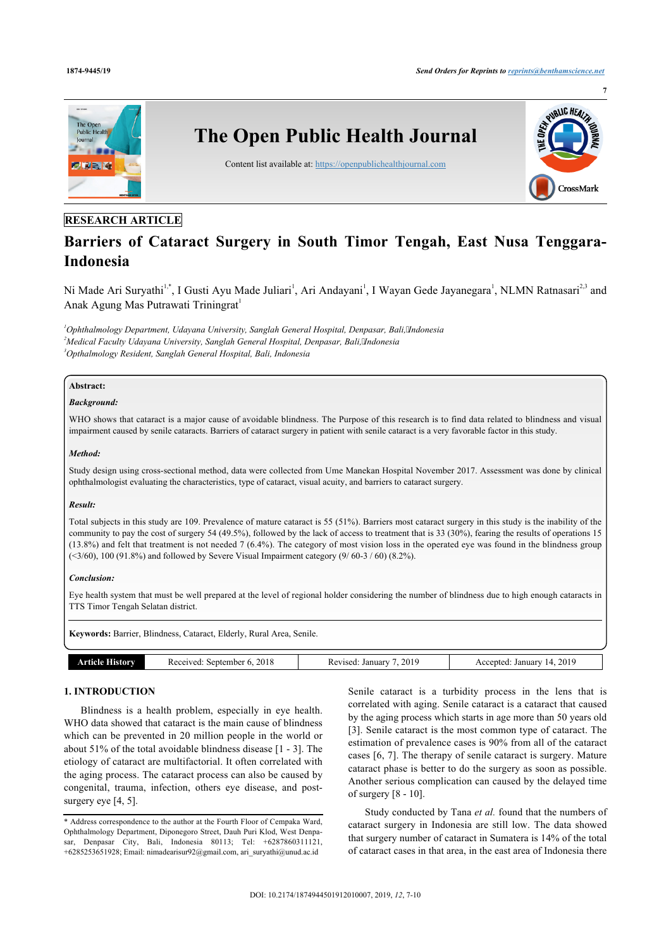

# **RESEARCH ARTICLE**

# **Barriers of Cataract Surgery in South Timor Tengah, East Nusa Tenggara-Indonesia**

Ni Made Ari Suryathi<sup>[1](#page-0-0),[\\*](#page-0-1)</sup>, I Gusti Ayu Made Juliari<sup>1</sup>, Ari Andayani<sup>1</sup>, I Wayan Gede Jayanegara<sup>1</sup>, NLMN Ratnasari<sup>[2](#page-0-2),[3](#page-0-3)</sup> and Anak Agung Mas Putrawati Triningrat<sup>[1](#page-0-0)</sup>

<span id="page-0-3"></span><span id="page-0-2"></span><span id="page-0-0"></span>*<sup>1</sup>Ophthalmology Department, Udayana University, Sanglah General Hospital, Denpasar, Bali,Indonesia <sup>2</sup>Medical Faculty Udayana University, Sanglah General Hospital, Denpasar, Bali,Indonesia <sup>3</sup>Opthalmology Resident, Sanglah General Hospital, Bali, Indonesia*

# **Abstract:**

# *Background:*

WHO shows that cataract is a major cause of avoidable blindness. The Purpose of this research is to find data related to blindness and visual impairment caused by senile cataracts. Barriers of cataract surgery in patient with senile cataract is a very favorable factor in this study.

#### *Method:*

Study design using cross-sectional method, data were collected from Ume Manekan Hospital November 2017. Assessment was done by clinical ophthalmologist evaluating the characteristics, type of cataract, visual acuity, and barriers to cataract surgery.

#### *Result:*

Total subjects in this study are 109. Prevalence of mature cataract is 55 (51%). Barriers most cataract surgery in this study is the inability of the community to pay the cost of surgery 54 (49.5%), followed by the lack of access to treatment that is 33 (30%), fearing the results of operations 15 (13.8%) and felt that treatment is not needed 7 (6.4%). The category of most vision loss in the operated eye was found in the blindness group  $($  < 3/60), 100 (91.8%) and followed by Severe Visual Impairment category (9/60-3/60) (8.2%).

#### *Conclusion:*

Eye health system that must be well prepared at the level of regional holder considering the number of blindness due to high enough cataracts in TTS Timor Tengah Selatan district.

**Keywords:** Barrier, Blindness, Cataract, Elderly, Rural Area, Senile.

| . ISLOTV | 2018<br>september ?<br>PCAUPO'<br>KE.<br>. . | 2019<br>January<br>vie | 2019<br>January<br>ccented<br>-1<br>AC.<br>____ |
|----------|----------------------------------------------|------------------------|-------------------------------------------------|

# **1. INTRODUCTION**

Blindness is a health problem, especially in eye health. WHO data showed that cataract is the main cause of blindness which can be prevented in 20 million people in the world or about 51% of the total avoidable blindness disease [\[1](#page-3-0) - [3](#page-3-1)]. The etiology of cataract are multifactorial. It often correlated with the aging process. The cataract process can also be caused by congenital, trauma, infection, others eye disease, and post-surgery eye [[4](#page-3-2), [5](#page-3-3)].

Senile cataract is a turbidity process in the lens that is correlated with aging. Senile cataract is a cataract that caused by the aging process which starts in age more than 50 years old [[3\]](#page-3-1). Senile cataract is the most common type of cataract. The estimation of prevalence cases is 90% from all of the cataract cases [\[6,](#page-3-4) [7\]](#page-3-5). The therapy of senile cataract is surgery. Mature cataract phase is better to do the surgery as soon as possible. Another serious complication can caused by the delayed time of surgery [[8](#page-3-6) - [10\]](#page-3-7).

Study conducted by Tana *et al.* found that the numbers of cataract surgery in Indonesia are still low. The data showed that surgery number of cataract in Sumatera is 14% of the total of cataract cases in that area, in the east area of Indonesia there

<span id="page-0-1"></span><sup>\*</sup> Address correspondence to the author at the Fourth Floor of Cempaka Ward, Ophthalmology Department, Diponegoro Street, Dauh Puri Klod, West Denpasar, Denpasar City, Bali, Indonesia 80113; Tel: +6287860311121, +6285253651928; Email: [nimadearisur92@gmail.com](mailto:nimadearisur92@gmail.com), [ari\\_suryathi@unud.ac.id](mailto:ari_suryathi@unud.ac.id)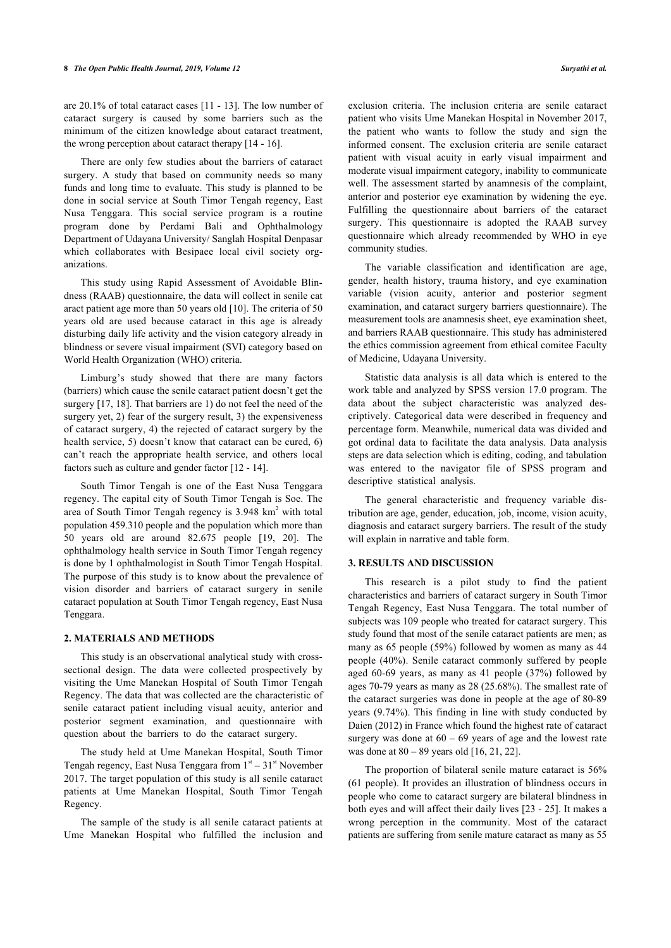are 20.1% of total cataract cases [\[11](#page-3-8) - [13\]](#page-3-9). The low number of cataract surgery is caused by some barriers such as the minimum of the citizen knowledge about cataract treatment, the wrong perception about cataract therapy [\[14](#page-3-10) - [16\]](#page-3-11).

There are only few studies about the barriers of cataract surgery. A study that based on community needs so many funds and long time to evaluate. This study is planned to be done in social service at South Timor Tengah regency, East Nusa Tenggara. This social service program is a routine program done by Perdami Bali and Ophthalmology Department of Udayana University/ Sanglah Hospital Denpasar which collaborates with Besipaee local civil society organizations.

This study using Rapid Assessment of Avoidable Blindness (RAAB) questionnaire, the data will collect in senile cat aract patient age more than 50 years old [[10\]](#page-3-7). The criteria of 50 years old are used because cataract in this age is already disturbing daily life activity and the vision category already in blindness or severe visual impairment (SVI) category based on World Health Organization (WHO) criteria.

Limburg's study showed that there are many factors (barriers) which cause the senile cataract patient doesn't get the surgery [\[17](#page-3-12), [18\]](#page-3-13). That barriers are 1) do not feel the need of the surgery yet, 2) fear of the surgery result, 3) the expensiveness of cataract surgery, 4) the rejected of cataract surgery by the health service, 5) doesn't know that cataract can be cured, 6) can't reach the appropriate health service, and others local factors such as culture and gender factor [\[12](#page-3-14) - [14\]](#page-3-10).

South Timor Tengah is one of the East Nusa Tenggara regency. The capital city of South Timor Tengah is Soe. The area of South Timor Tengah regency is  $3.948 \text{ km}^2$  with total population 459.310 people and the population which more than 50 years old are around 82.675 people[[19](#page-3-15), [20](#page-3-16)]. The ophthalmology health service in South Timor Tengah regency is done by 1 ophthalmologist in South Timor Tengah Hospital. The purpose of this study is to know about the prevalence of vision disorder and barriers of cataract surgery in senile cataract population at South Timor Tengah regency, East Nusa Tenggara.

#### **2. MATERIALS AND METHODS**

This study is an observational analytical study with crosssectional design. The data were collected prospectively by visiting the Ume Manekan Hospital of South Timor Tengah Regency. The data that was collected are the characteristic of senile cataract patient including visual acuity, anterior and posterior segment examination, and questionnaire with question about the barriers to do the cataract surgery.

The study held at Ume Manekan Hospital, South Timor Tengah regency, East Nusa Tenggara from  $1<sup>st</sup> - 31<sup>st</sup>$  November 2017. The target population of this study is all senile cataract patients at Ume Manekan Hospital, South Timor Tengah Regency.

<span id="page-1-0"></span>The sample of the study is all senile cataract patients at Ume Manekan Hospital who fulfilled the inclusion and

exclusion criteria. The inclusion criteria are senile cataract patient who visits Ume Manekan Hospital in November 2017, the patient who wants to follow the study and sign the informed consent. The exclusion criteria are senile cataract patient with visual acuity in early visual impairment and moderate visual impairment category, inability to communicate well. The assessment started by anamnesis of the complaint, anterior and posterior eye examination by widening the eye. Fulfilling the questionnaire about barriers of the cataract surgery. This questionnaire is adopted the RAAB survey questionnaire which already recommended by WHO in eye community studies.

The variable classification and identification are age, gender, health history, trauma history, and eye examination variable (vision acuity, anterior and posterior segment examination, and cataract surgery barriers questionnaire). The measurement tools are anamnesis sheet, eye examination sheet, and barriers RAAB questionnaire. This study has administered the ethics commission agreement from ethical comitee Faculty of Medicine, Udayana University.

Statistic data analysis is all data which is entered to the work table and analyzed by SPSS version 17.0 program. The data about the subject characteristic was analyzed descriptively. Categorical data were described in frequency and percentage form. Meanwhile, numerical data was divided and got ordinal data to facilitate the data analysis. Data analysis steps are data selection which is editing, coding, and tabulation was entered to the navigator file of SPSS program and descriptive statistical analysis.

The general characteristic and frequency variable distribution are age, gender, education, job, income, vision acuity, diagnosis and cataract surgery barriers. The result of the study will explain in narrative and table form.

#### **3. RESULTS AND DISCUSSION**

This research is a pilot study to find the patient characteristics and barriers of cataract surgery in South Timor Tengah Regency, East Nusa Tenggara. The total number of subjects was 109 people who treated for cataract surgery. This study found that most of the senile cataract patients are men; as many as 65 people (59%) followed by women as many as 44 people (40%). Senile cataract commonly suffered by people aged 60-69 years, as many as 41 people (37%) followed by ages 70-79 years as many as 28 (25.68%). The smallest rate of the cataract surgeries was done in people at the age of 80-89 years (9.74%). This finding in line with study conducted by Daien (2012) in France which found the highest rate of cataract surgery was done at  $60 - 69$  [yea](#page-3-11)[rs o](#page-3-17)[f ag](#page-3-18)e and the lowest rate was done at  $80 - 89$  years old  $[16, 21, 22]$ .

The proportion of bilateral senile mature cataract is 56% (61 people). It provides an illustration of blindness occurs in people who come to cataract surgery are b[ila](#page-3-19)te[ral](#page-3-20) blindness in both eyes and will affect their daily lives [23 - 25]. It makes a wrong perception in the community. Most of the cataract patients are suffering from senile mature cataract as many as 55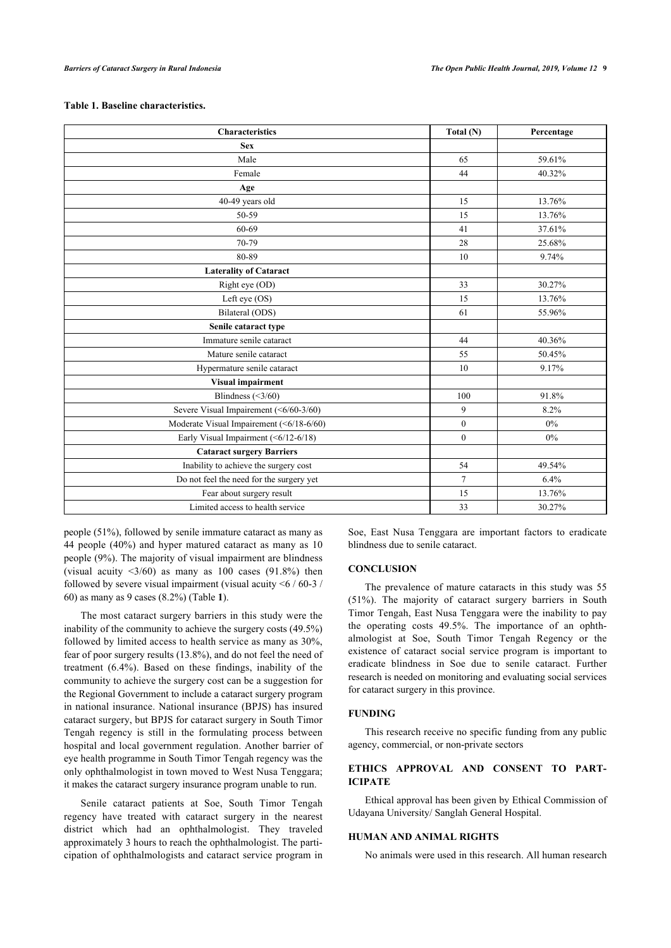# **Table 1. Baseline characteristics.**

| <b>Characteristics</b>                   | Total (N)      | Percentage |
|------------------------------------------|----------------|------------|
| <b>Sex</b>                               |                |            |
| Male                                     | 65             | 59.61%     |
| Female                                   | 44             | 40.32%     |
| Age                                      |                |            |
| 40-49 years old                          | 15             | 13.76%     |
| 50-59                                    | 15             | 13.76%     |
| 60-69                                    | 41             | 37.61%     |
| 70-79                                    | 28             | 25.68%     |
| 80-89                                    | 10             | 9.74%      |
| <b>Laterality of Cataract</b>            |                |            |
| Right eye (OD)                           | 33             | 30.27%     |
| Left eye (OS)                            | 15             | 13.76%     |
| Bilateral (ODS)                          | 61             | 55.96%     |
| Senile cataract type                     |                |            |
| Immature senile cataract                 | 44             | 40.36%     |
| Mature senile cataract                   | 55             | 50.45%     |
| Hypermature senile cataract              | 10             | 9.17%      |
| <b>Visual impairment</b>                 |                |            |
| Blindness $(\leq 3/60)$                  | 100            | 91.8%      |
| Severe Visual Impairement (<6/60-3/60)   | 9              | 8.2%       |
| Moderate Visual Impairement (<6/18-6/60) | $\overline{0}$ | $0\%$      |
| Early Visual Impairment (<6/12-6/18)     | $\theta$       | $0\%$      |
| <b>Cataract surgery Barriers</b>         |                |            |
| Inability to achieve the surgery cost    | 54             | 49.54%     |
| Do not feel the need for the surgery yet | $\tau$         | 6.4%       |
| Fear about surgery result                | 15             | 13.76%     |
| Limited access to health service         | 33             | 30.27%     |

people (51%), followed by senile immature cataract as many as 44 people (40%) and hyper matured cataract as many as 10 people (9%). The majority of visual impairment are blindness (visual acuity  $\langle 3/60 \rangle$  as many as 100 cases (91.8%) then followed by severe visual impairment (visual acuity <6 / 60-3 / 60) as many as 9 cases (8.2%) (Table **[1](#page-1-0)**).

The most cataract surgery barriers in this study were the inability of the community to achieve the surgery costs (49.5%) followed by limited access to health service as many as 30%, fear of poor surgery results (13.8%), and do not feel the need of treatment (6.4%). Based on these findings, inability of the community to achieve the surgery cost can be a suggestion for the Regional Government to include a cataract surgery program in national insurance. National insurance (BPJS) has insured cataract surgery, but BPJS for cataract surgery in South Timor Tengah regency is still in the formulating process between hospital and local government regulation. Another barrier of eye health programme in South Timor Tengah regency was the only ophthalmologist in town moved to West Nusa Tenggara; it makes the cataract surgery insurance program unable to run.

Senile cataract patients at Soe, South Timor Tengah regency have treated with cataract surgery in the nearest district which had an ophthalmologist. They traveled approximately 3 hours to reach the ophthalmologist. The participation of ophthalmologists and cataract service program in Soe, East Nusa Tenggara are important factors to eradicate blindness due to senile cataract.

# **CONCLUSION**

The prevalence of mature cataracts in this study was 55 (51%). The majority of cataract surgery barriers in South Timor Tengah, East Nusa Tenggara were the inability to pay the operating costs 49.5%. The importance of an ophthalmologist at Soe, South Timor Tengah Regency or the existence of cataract social service program is important to eradicate blindness in Soe due to senile cataract. Further research is needed on monitoring and evaluating social services for cataract surgery in this province.

# **FUNDING**

This research receive no specific funding from any public agency, commercial, or non-private sectors

# **ETHICS APPROVAL AND CONSENT TO PART-ICIPATE**

Ethical approval has been given by Ethical Commission of Udayana University/ Sanglah General Hospital.

# **HUMAN AND ANIMAL RIGHTS**

No animals were used in this research. All human research